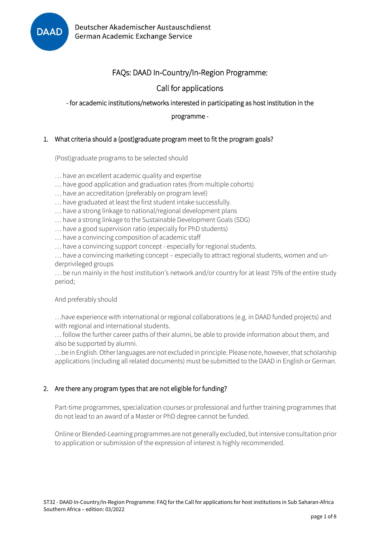

# FAQs: DAAD In-Country/In-Region Programme:

# Call for applications

- for academic institutions/networks interested in participating as host institution in the

### programme -

## 1. What criteria should a (post)graduate program meet to fit the program goals?

(Post)graduate programs to be selected should

… have an excellent academic quality and expertise

… have good application and graduation rates (from multiple cohorts)

… have an accreditation (preferably on program level)

… have graduated at least the first student intake successfully.

… have a strong linkage to national/regional development plans

… have a strong linkage to the Sustainable Development Goals (SDG)

… have a good supervision ratio (especially for PhD students)

… have a convincing composition of academic staff

… have a convincing support concept - especially for regional students.

… have a convincing marketing concept – especially to attract regional students, women and underprivileged groups

… be run mainly in the host institution's network and/or country for at least 75% of the entire study period;

And preferably should

…have experience with international or regional collaborations (e.g. in DAAD funded projects) and with regional and international students.

… follow the further career paths of their alumni, be able to provide information about them, and also be supported by alumni.

…be in English. Other languages are not excluded in principle. Please note, however, that scholarship applications (including all related documents) must be submitted to the DAAD in English or German.

#### 2. Are there any program types that are not eligible for funding?

Part-time programmes, specialization courses or professional and further training programmes that do not lead to an award of a Master or PhD degree cannot be funded.

Online or Blended-Learning programmes are not generally excluded, but intensive consultation prior to application or submission of the expression of interest is highly recommended.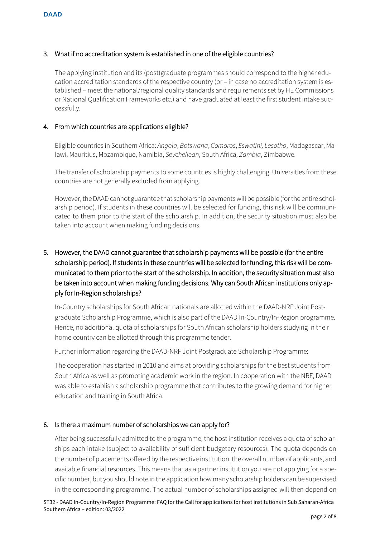### 3. What if no accreditation system is established in one of the eligible countries?

The applying institution and its (post)graduate programmes should correspond to the higher education accreditation standards of the respective country (or – in case no accreditation system is established – meet the national/regional quality standards and requirements set by HE Commissions or National Qualification Frameworks etc.) and have graduated at least the first student intake successfully.

### 4. From which countries are applications eligible?

Eligible countries in Southern Africa: *Angola*, *Botswana*, *Comoros*, *Eswatini, Lesotho*, Madagascar, Malawi, Mauritius, Mozambique, Namibia, *Seychellean*, South Africa, *Zambia*, Zimbabwe.

The transfer of scholarship payments to some countries is highly challenging. Universities from these countries are not generally excluded from applying.

However, the DAAD cannot guarantee that scholarship payments will be possible (for the entire scholarship period). If students in these countries will be selected for funding, this risk will be communicated to them prior to the start of the scholarship. In addition, the security situation must also be taken into account when making funding decisions.

# 5. However, the DAAD cannot guarantee that scholarship payments will be possible (for the entire scholarship period). If students in these countries will be selected for funding, this risk will be communicated to them prior to the start of the scholarship. In addition, the security situation must also be taken into account when making funding decisions. Why can South African institutions only apply for In-Region scholarships?

In-Country scholarships for South African nationals are allotted within th[e DAAD-NRF Joint Post](https://www.daad.de/deutschland/stipendium/datenbank/en/21148-scholarship-database/?daad=&detail=10000279&intention=&origin=&page=1&q=nrf&status=&subjectGrps=)[graduate Scholarship Programme,](https://www.daad.de/deutschland/stipendium/datenbank/en/21148-scholarship-database/?daad=&detail=10000279&intention=&origin=&page=1&q=nrf&status=&subjectGrps=) which is also part of the DAAD In-Country/In-Region programme. Hence, no additional quota of scholarships for South African scholarship holders studying in their home country can be allotted through this programme tender.

Further information regarding the DAAD-NRF Joint Postgraduate Scholarship Programme:

The cooperation has started in 2010 and aims at providing scholarships for the best students from South Africa as well as promoting academic work in the region. In cooperation with the NRF, DAAD was able to establish a scholarship programme that contributes to the growing demand for higher education and training in South Africa.

#### 6. Is there a maximum number of scholarships we can apply for?

After being successfully admitted to the programme, the host institution receives a quota of scholarships each intake (subject to availability of sufficient budgetary resources). The quota depends on the number of placements offered by the respective institution, the overall number of applicants, and available financial resources. This means that as a partner institution you are not applying for a specific number, but you should note in the application how many scholarship holders can be supervised in the corresponding programme. The actual number of scholarships assigned will then depend on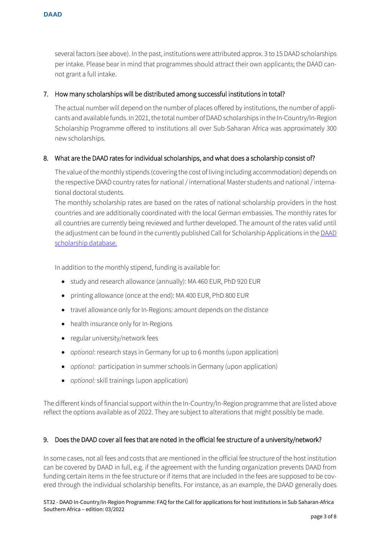several factors (see above). In the past, institutions were attributed approx. 3 to 15 DAAD scholarships per intake. Please bear in mind that programmes should attract their own applicants; the DAAD cannot grant a full intake.

## 7. How many scholarships will be distributed among successful institutions in total?

The actual number will depend on the number of places offered by institutions, the number of applicants and available funds. In 2021, the total number of DAAD scholarships in the In-Country/In-Region Scholarship Programme offered to institutions all over Sub-Saharan Africa was approximately 300 new scholarships.

## 8. What are the DAAD rates for individual scholarships, and what does a scholarship consist of?

The value of the monthly stipends (covering the cost of living including accommodation) depends on the respective DAAD country rates for national / international Master students and national / international doctoral students.

The monthly scholarship rates are based on the rates of national scholarship providers in the host countries and are additionally coordinated with the local German embassies. The monthly rates for all countries are currently being reviewed and further developed. The amount of the rates valid until the adjustment can be found in the currently published Call for Scholarship Applications in the DAAD [scholarship database.](https://www2.daad.de/deutschland/stipendium/datenbank/en/21148-scholarship-database/?detail=10000486)

In addition to the monthly stipend, funding is available for:

- study and research allowance (annually): MA 460 EUR, PhD 920 EUR
- printing allowance (once at the end): MA 400 EUR, PhD 800 EUR
- travel allowance only for In-Regions: amount depends on the distance
- health insurance only for In-Regions
- regular university/network fees
- *optional*: research stays in Germany for up to 6 months (upon application)
- *optional*: participation in summer schools in Germany (upon application)
- *optional:* skill trainings (upon application)

The different kinds of financial support within the In-Country/In-Region programme that are listed above reflect the options available as of 2022. They are subject to alterations that might possibly be made.

## 9. Does the DAAD cover all fees that are noted in the official fee structure of a university/network?

In some cases, not all fees and costs that are mentioned in the official fee structure of the host institution can be covered by DAAD in full, e.g. if the agreement with the funding organization prevents DAAD from funding certain items in the fee structure or if items that are included in the fees are supposed to be covered through the individual scholarship benefits. For instance, as an example, the DAAD generally does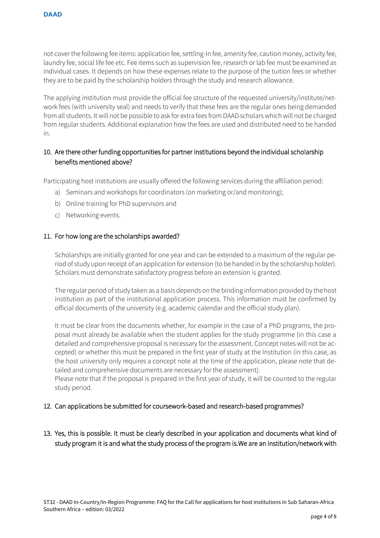not cover the following fee items: application fee, settling-In fee, amenity fee, caution money, activity fee, laundry fee, social life fee etc. Fee items such as supervision fee, research or lab fee must be examined as individual cases. It depends on how these expenses relate to the purpose of the tuition fees or whether they are to be paid by the scholarship holders through the study and research allowance.

The applying institution must provide the official fee structure of the requested university/institute/network fees (with university seal) and needs to verify that these fees are the regular ones being demanded from all students. It will not be possible to ask for extra fees from DAAD scholars which will not be charged from regular students. Additional explanation how the fees are used and distributed need to be handed in.

# 10. Are there other funding opportunities for partner institutions beyond the individual scholarship benefits mentioned above?

Participating host institutions are usually offered the following services during the affiliation period:

- a) Seminars and workshops for coordinators (on marketing or/and monitoring);
- b) Online training for PhD supervisors and
- c) Networking events.

### 11. For how long are the scholarships awarded?

Scholarships are initially granted for one year and can be extended to a maximum of the regular period of study upon receipt of an application for extension (to be handed in by the scholarship holder). Scholars must demonstrate satisfactory progress before an extension is granted.

The regular period of study taken as a basis depends on the binding information provided by the host institution as part of the institutional application process. This information must be confirmed by official documents of the university (e.g. academic calendar and the official study plan).

It must be clear from the documents whether, for example in the case of a PhD programs, the proposal must already be available when the student applies for the study programme (in this case a detailed and comprehensive proposal is necessary for the assessment. Concept notes will not be accepted) or whether this must be prepared in the first year of study at the Institution (in this case, as the host university only requires a concept note at the time of the application, please note that detailed and comprehensive documents are necessary for the assessment).

Please note that if the proposal is prepared in the first year of study, it will be counted to the regular study period.

#### 12. Can applications be submitted for coursework-based and research-based programmes?

13. Yes, this is possible. It must be clearly described in your application and documents what kind of study program it is and what the study process of the program is.We are an institution/network with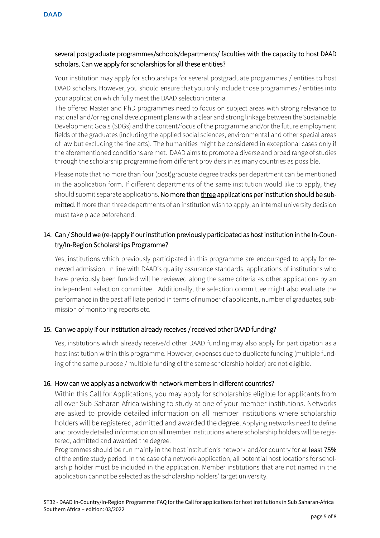# several postgraduate programmes/schools/departments/ faculties with the capacity to host DAAD scholars. Can we apply for scholarships for all these entities?

Your institution may apply for scholarships for several postgraduate programmes / entities to host DAAD scholars. However, you should ensure that you only include those programmes / entities into your application which fully meet the DAAD selection criteria.

The offered Master and PhD programmes need to focus on subject areas with strong relevance to national and/or regional development plans with a clear and strong linkage between the Sustainable Development Goals (SDGs) and the content/focus of the programme and/or the future employment fields of the graduates (including the applied social sciences, environmental and other special areas of law but excluding the fine arts). The humanities might be considered in exceptional cases only if the aforementioned conditions are met. DAAD aims to promote a diverse and broad range of studies through the scholarship programme from different providers in as many countries as possible.

Please note that no more than four (post)graduate degree tracks per department can be mentioned in the application form. If different departments of the same institution would like to apply, they should submit separate applications. No more than three applications per institution should be submitted. If more than three departments of an institution wish to apply, an internal university decision must take place beforehand.

# 14. Can / Should we (re-)apply if our institution previously participated as host institution in the In-Country/In-Region Scholarships Programme?

Yes, institutions which previously participated in this programme are encouraged to apply for renewed admission. In line with DAAD's quality assurance standards, applications of institutions who have previously been funded will be reviewed along the same criteria as other applications by an independent selection committee. Additionally, the selection committee might also evaluate the performance in the past affiliate period in terms of number of applicants, number of graduates, submission of monitoring reports etc.

# 15. Can we apply if our institution already receives / received other DAAD funding?

Yes, institutions which already receive/d other DAAD funding may also apply for participation as a host institution within this programme. However, expenses due to duplicate funding (multiple funding of the same purpose / multiple funding of the same scholarship holder) are not eligible.

## 16. How can we apply as a network with network members in different countries?

Within this Call for Applications, you may apply for scholarships eligible for applicants from all over Sub-Saharan Africa wishing to study at one of your member institutions. Networks are asked to provide detailed information on all member institutions where scholarship holders will be registered, admitted and awarded the degree. Applying networks need to define and provide detailed information on all member institutions where scholarship holders will be registered, admitted and awarded the degree.

Programmes should be run mainly in the host institution's network and/or country for at least 75% of the entire study period. In the case of a network application, all potential host locations for scholarship holder must be included in the application. Member institutions that are not named in the application cannot be selected as the scholarship holders' target university.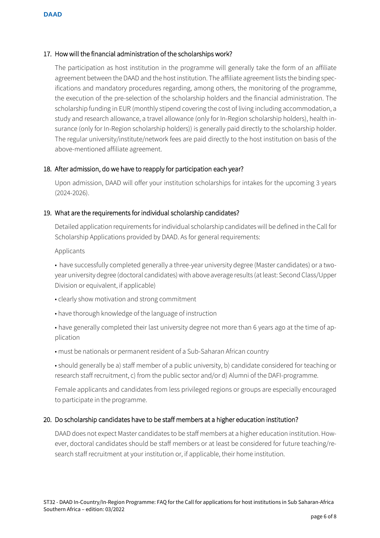### 17. How will the financial administration of the scholarships work?

The participation as host institution in the programme will generally take the form of an affiliate agreement between the DAAD and the host institution. The affiliate agreement lists the binding specifications and mandatory procedures regarding, among others, the monitoring of the programme, the execution of the pre-selection of the scholarship holders and the financial administration. The scholarship funding in EUR (monthly stipend covering the cost of living including accommodation, a study and research allowance, a travel allowance (only for In-Region scholarship holders), health insurance (only for In-Region scholarship holders)) is generally paid directly to the scholarship holder. The regular university/institute/network fees are paid directly to the host institution on basis of the above-mentioned affiliate agreement.

### 18. After admission, do we have to reapply for participation each year?

Upon admission, DAAD will offer your institution scholarships for intakes for the upcoming 3 years (2024-2026).

### 19. What are the requirements for individual scholarship candidates?

Detailed application requirements for individual scholarship candidates will be defined in the Call for Scholarship Applications provided by DAAD. As for general requirements:

#### Applicants

• have successfully completed generally a three-year university degree (Master candidates) or a twoyear university degree (doctoral candidates) with above average results (at least: Second Class/Upper Division or equivalent, if applicable)

- clearly show motivation and strong commitment
- have thorough knowledge of the language of instruction
- have generally completed their last university degree not more than 6 years ago at the time of application
- must be nationals or permanent resident of a Sub-Saharan African country
- should generally be a) staff member of a public university, b) candidate considered for teaching or research staff recruitment, c) from the public sector and/or d) Alumni of the DAFI-programme.

Female applicants and candidates from less privileged regions or groups are especially encouraged to participate in the programme.

#### 20. Do scholarship candidates have to be staff members at a higher education institution?

DAAD does not expect Master candidates to be staff members at a higher education institution. However, doctoral candidates should be staff members or at least be considered for future teaching/research staff recruitment at your institution or, if applicable, their home institution.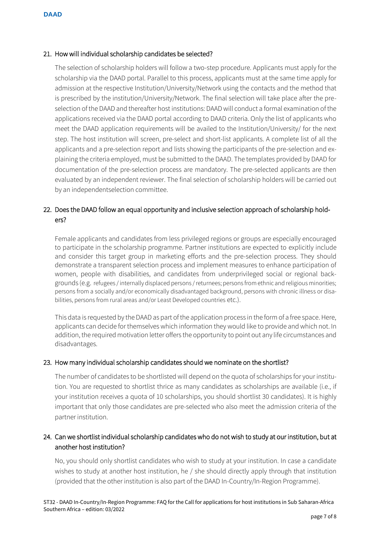### 21. How will individual scholarship candidates be selected?

The selection of scholarship holders will follow a two-step procedure. Applicants must apply for the scholarship via the DAAD portal. Parallel to this process, applicants must at the same time apply for admission at the respective Institution/University/Network using the contacts and the method that is prescribed by the institution/University/Network. The final selection will take place after the preselection of the DAAD and thereafter host institutions: DAAD will conduct a formal examination of the applications received via the DAAD portal according to DAAD criteria. Only the list of applicants who meet the DAAD application requirements will be availed to the Institution/University/ for the next step. The host institution will screen, pre-select and short-list applicants. A complete list of all the applicants and a pre-selection report and lists showing the participants of the pre-selection and explaining the criteria employed, must be submitted to the DAAD. The templates provided by DAAD for documentation of the pre-selection process are mandatory. The pre-selected applicants are then evaluated by an independent reviewer. The final selection of scholarship holders will be carried out by an independentselection committee.

# 22. Does the DAAD follow an equal opportunity and inclusive selection approach of scholarship holders?

Female applicants and candidates from less privileged regions or groups are especially encouraged to participate in the scholarship programme. Partner institutions are expected to explicitly include and consider this target group in marketing efforts and the pre-selection process. They should demonstrate a transparent selection process and implement measures to enhance participation of women, people with disabilities, and candidates from underprivileged social or regional backgrounds (e.g. refugees / internally displaced persons / returnees; persons from ethnic and religious minorities; persons from a socially and/or economically disadvantaged background, persons with chronic illness or disabilities, persons from rural areas and/or Least Developed countries etc.).

This data is requested by the DAAD as part of the application process in the form of a free space. Here, applicants can decide for themselves which information they would like to provide and which not. In addition, the required motivation letter offers the opportunity to point out any life circumstances and disadvantages.

#### 23. How many individual scholarship candidates should we nominate on the shortlist?

The number of candidates to be shortlisted will depend on the quota of scholarships for your institution. You are requested to shortlist thrice as many candidates as scholarships are available (i.e., if your institution receives a quota of 10 scholarships, you should shortlist 30 candidates). It is highly important that only those candidates are pre-selected who also meet the admission criteria of the partner institution.

# 24. Can we shortlist individual scholarship candidates who do not wish to study at our institution, but at another host institution?

No, you should only shortlist candidates who wish to study at your institution. In case a candidate wishes to study at another host institution, he / she should directly apply through that institution (provided that the other institution is also part of the DAAD In-Country/In-Region Programme).